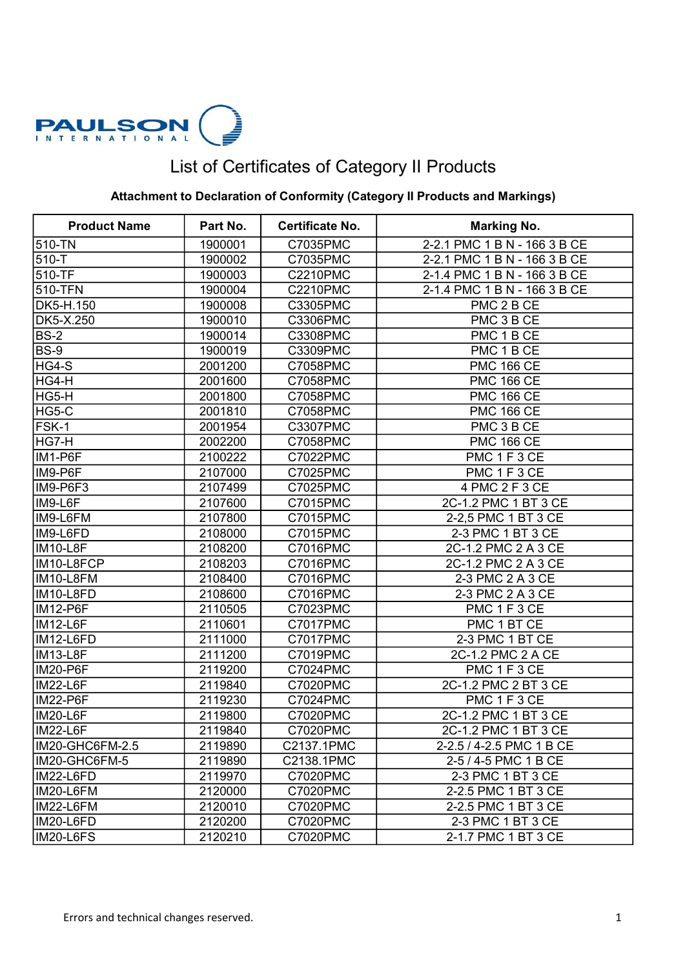

## List of Certificates of Category II Products

## Attachment to Declaration of Conformity (Category II Products and Markings)

| <b>Product Name</b> | Part No. | Certificate No. | <b>Marking No.</b>           |
|---------------------|----------|-----------------|------------------------------|
| 510-TN              | 1900001  | C7035PMC        | 2-2.1 PMC 1 B N - 166 3 B CE |
| 510-T               | 1900002  | C7035PMC        | 2-2.1 PMC 1 B N - 166 3 B CE |
| 510-TF              | 1900003  | <b>C2210PMC</b> | 2-1.4 PMC 1 B N - 166 3 B CE |
| 510-TFN             | 1900004  | C2210PMC        | 2-1.4 PMC 1 B N - 166 3 B CE |
| DK5-H.150           | 1900008  | C3305PMC        | PMC 2 B CE                   |
| DK5-X.250           | 1900010  | C3306PMC        | PMC 3 B CE                   |
| BS-2                | 1900014  | C3308PMC        | PMC 1 B CE                   |
| BS-9                | 1900019  | C3309PMC        | PMC 1 B CE                   |
| HG4-S               | 2001200  | C7058PMC        | <b>PMC 166 CE</b>            |
| HG4-H               | 2001600  | C7058PMC        | <b>PMC 166 CE</b>            |
| HG5-H               | 2001800  | C7058PMC        | <b>PMC 166 CE</b>            |
| HG5-C               | 2001810  | C7058PMC        | <b>PMC 166 CE</b>            |
| FSK-1               | 2001954  | C3307PMC        | PMC 3 B CE                   |
| HG7-H               | 2002200  | C7058PMC        | <b>PMC 166 CE</b>            |
| IM1-P6F             | 2100222  | C7022PMC        | PMC 1 F 3 CE                 |
| IM9-P6F             | 2107000  | C7025PMC        | PMC 1 F 3 CE                 |
| IM9-P6F3            | 2107499  | C7025PMC        | 4 PMC 2 F 3 CE               |
| IM9-L6F             | 2107600  | C7015PMC        | 2C-1.2 PMC 1 BT 3 CE         |
| IM9-L6FM            | 2107800  | C7015PMC        | 2-2,5 PMC 1 BT 3 CE          |
| IM9-L6FD            | 2108000  | C7015PMC        | 2-3 PMC 1 BT 3 CE            |
| IM10-L8F            | 2108200  | C7016PMC        | 2C-1.2 PMC 2 A 3 CE          |
| IM10-L8FCP          | 2108203  | C7016PMC        | 2C-1.2 PMC 2 A 3 CE          |
| IM10-L8FM           | 2108400  | C7016PMC        | 2-3 PMC 2 A 3 CE             |
| IM10-L8FD           | 2108600  | C7016PMC        | 2-3 PMC 2 A 3 CE             |
| IM12-P6F            | 2110505  | C7023PMC        | PMC 1 F 3 CE                 |
| IM12-L6F            | 2110601  | C7017PMC        | PMC 1 BT CE                  |
| IM12-L6FD           | 2111000  | <b>C7017PMC</b> | 2-3 PMC 1 BT CE              |
| IM13-L8F            | 2111200  | C7019PMC        | 2C-1.2 PMC 2 A CE            |
| IM20-P6F            | 2119200  | C7024PMC        | PMC 1 F 3 CE                 |
| IM22-L6F            | 2119840  | C7020PMC        | 2C-1.2 PMC 2 BT 3 CE         |
| IM22-P6F            | 2119230  | C7024PMC        | PMC 1 F 3 CE                 |
| IM20-L6F            | 2119800  | <b>C7020PMC</b> | 2C-1.2 PMC 1 BT 3 CE         |
| $IM22-L6F$          | 2119840  | <b>C7020PMC</b> | 2C-1.2 PMC 1 BT 3 CE         |
| IM20-GHC6FM-2.5     | 2119890  | C2137.1PMC      | 2-2.5 / 4-2.5 PMC 1 B CE     |
| IM20-GHC6FM-5       | 2119890  | C2138.1PMC      | 2-5 / 4-5 PMC 1 B CE         |
| IM22-L6FD           | 2119970  | C7020PMC        | 2-3 PMC 1 BT 3 CE            |
| IM20-L6FM           | 2120000  | <b>C7020PMC</b> | 2-2.5 PMC 1 BT 3 CE          |
| IM22-L6FM           | 2120010  | C7020PMC        | 2-2.5 PMC 1 BT 3 CE          |
| IM20-L6FD           | 2120200  | C7020PMC        | 2-3 PMC 1 BT 3 CE            |
| IM20-L6FS           | 2120210  | C7020PMC        | 2-1.7 PMC 1 BT 3 CE          |